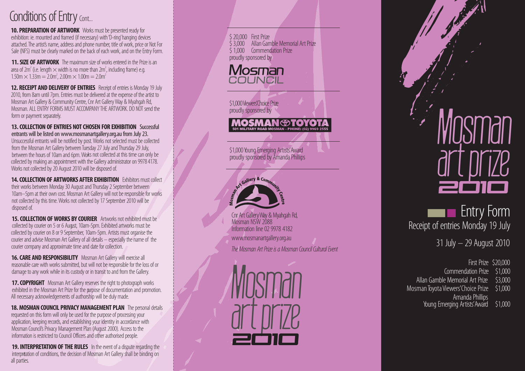### Conditions of Entry Cont...

**10. PREPARATION OF ARTWORK** Works must be presented ready for exhibition: ie. mounted and framed (if necessary) with 'D-ring' hanging devices attached. The artist's name, address and phone number, title of work, price or Not For Sale (NFS) must be clearly marked on the back of each work, and on the Entry Form.

**11. SIZE OF ARTWORK** The maximum size of works entered in the Prize is an area of 2m<sup>2</sup> (i.e. length  $\times$  width is no more than 2m<sup>2</sup>, including frame) e.g. 1.50m  $\times$  1.33m = 2.0m<sup>2</sup>, 2.00m  $\times$  1.00m = 2.0m<sup>2</sup>

**12. RECEIPT AND DELIVERY OF ENTRIES** Receipt of entries is Monday 19 July 2010, from 8am until 7pm. Entries must be delivered at the expense of the artist to Mosman Art Gallery & Community Centre, Cnr Art Gallery Way & Myahgah Rd, Mosman. ALL ENTRY FORMS MUST ACCOMPANY THE ARTWORK. DO NOT send the form or payment separately.

**13. COLLECTION OF ENTRIES NOT CHOSEN FOR EXHIBITION** Successful entrants will be listed on www.mosmanartgallery.org.au from July 23. Unsuccessful entrants will be notified by post. Works not selected must be collected from the Mosman Art Gallery between Tuesday 27 July and Thursday 29 July, between the hours of 10am and 6pm. Works not collected at this time can only be collected by making an appointment with the Gallery administrator on 99784178. Works not collected by 20 August 2010 will be disposed of.

**14. COLLECTION OF ARTWORKS AFTER EXHIBITION** Exhibitors must collect their works between Monday 30 August and Thursday 2 September between 10am–5pm at their own cost. Mosman Art Gallery will not be responsible for works not collected by this time. Works not collected by 17 September 2010 will be disposed of.

**15. COLLECTION OF WORKS BY COURIER** Artworks not exhibited must be collected by courier on 5 or 6 August, 10am-5pm. Exhibited artworks must be collected by courier on 8 or 9 September, 10am-5pm. Artists must organise the courier and advise Mosman Art Gallery of all details – especially the name of the courier company and approximate time and date for collection.

**16. CARE AND RESPONSIBILITY** Mosman Art Gallery will exercise all reasonable care with works submitted, but will not be responsible for the loss of or damage to any work while in its custody or in transit to and from the Gallery.

**17. COPYRIGHT** Mosman Art Gallery reserves the right to photograph works exhibited in the Mosman Art Prize for the purpose of documentation and promotion. All necessary acknowledgements of authorship will be duly made.

**18. MOSMAN COUNCIL PRIVACY MANAGEMENT PLAN** The personal details requested on this form will only be used for the purpose of processing your application, keeping records, and establishing your identity in accordance with Mosman Council's Privacy Management Plan (August 2000). Access to the information is restricted to Council Officers and other authorised people.

**19. INTERPRETATION OF THE RULES** In the event of a dispute regarding the interpretation of conditions, the decision of Mosman Art Gallery shall be binding on all parties.



# art prize Mosman 2O1O

Receipt of entries Monday 19 July **Entry Form** 

31 July – 29 August 2010

First Prize \$20,000 Commendation Prize \$1,000 Allan Gamble Memorial Art Prize \$3,000 Mosman Toyota Viewers' Choice Prize \$1,000 Amanda Phillips<br>Young Emerging Artists' Award \$1,000